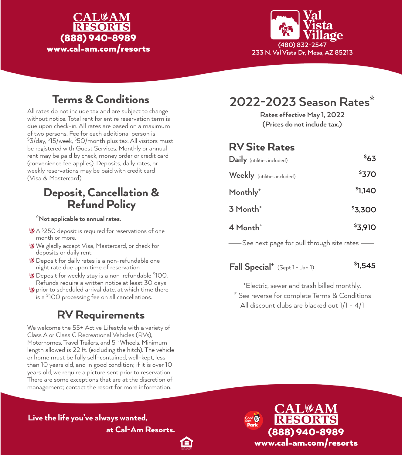#### **CAL**&AM **RESORTS** (888) 940-8989 www.cal-am.com/resorts



# Terms & Conditions

All rates do not include tax and are subject to change without notice. Total rent for entire reservation term is due upon check-in. All rates are based on a maximum of two persons. Fee for each additional person is \$ 3/day, \$ 15/week, \$ 50/month plus tax. All visitors must be registered with Guest Services. Monthly or annual rent may be paid by check, money order or credit card (convenience fee applies). Deposits, daily rates, or weekly reservations may be paid with credit card (Visa & Mastercard).

### Deposit, Cancellation & Refund Policy

#### **\*Not applicable to annual rates.**

- LA \$250 deposit is required for reservations of one month or more.
- We gladly accept Visa, Mastercard, or check for deposits or daily rent.
- Deposit for daily rates is a non-refundable one night rate due upon time of reservation
- Deposit for weekly stay is a non-refundable \$ 100. Refunds require a written notice at least 30 days
- prior to scheduled arrival date, at which time there is a \$ 100 processing fee on all cancellations.

## RV Requirements

We welcome the 55+ Active Lifestyle with a variety of Class A or Class C Recreational Vehicles (RVs), Motorhomes, Travel Trailers, and 5<sup>th</sup> Wheels. Minimum length allowed is 22 ft. (excluding the hitch). The vehicle or home must be fully self-contained, well-kept, less than 10 years old, and in good condition; if it is over 10 years old, we require a picture sent prior to reservation. There are some exceptions that are at the discretion of management; contact the resort for more information.

# **2022-2023 Season Rates\***

**(Prices do not include tax.) Rates effective May 1, 2022**

## RV Site Rates

| Daily (utilities included)  | 563     |
|-----------------------------|---------|
| Weekly (utilities included) | \$370   |
| Monthly <sup>+</sup>        | \$1,140 |
| 3 Month <sup>+</sup>        | \$3,300 |
| 4 Month <sup>+</sup>        | \$3,910 |
|                             |         |

See next page for pull through site rates

**Fall Special**<sup>+</sup> (Sept 1 - Jan 1) **1,545** 

**\*** See reverse for complete Terms & Conditions **+** Electric, sewer and trash billed monthly. All discount clubs are blacked out 1/1 - 4/1

Live the life you've always wanted,

Θ